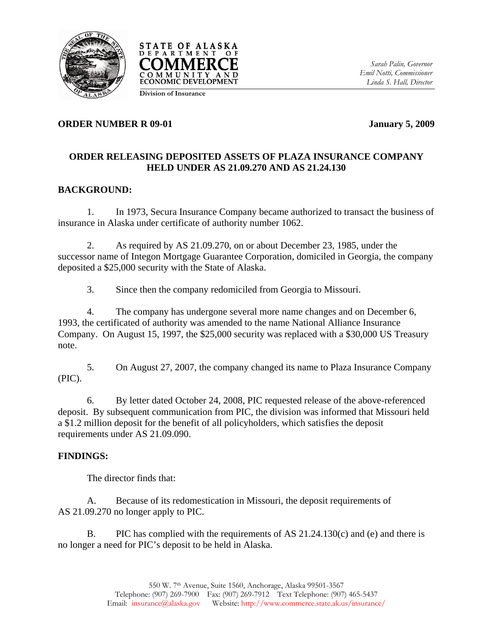



*Sarah Palin, Governor Emil Notti, Commissioner Linda S. Hall, Director* 

## **ORDER NUMBER R 09-01** January 5, 2009

## **ORDER RELEASING DEPOSITED ASSETS OF PLAZA INSURANCE COMPANY HELD UNDER AS 21.09.270 AND AS 21.24.130**

# **BACKGROUND:**

1. In 1973, Secura Insurance Company became authorized to transact the business of insurance in Alaska under certificate of authority number 1062.

2. As required by AS 21.09.270, on or about December 23, 1985, under the successor name of Integon Mortgage Guarantee Corporation, domiciled in Georgia, the company deposited a \$25,000 security with the State of Alaska.

3. Since then the company redomiciled from Georgia to Missouri.

4. The company has undergone several more name changes and on December 6, 1993, the certificated of authority was amended to the name National Alliance Insurance Company. On August 15, 1997, the \$25,000 security was replaced with a \$30,000 US Treasury note.

5. On August 27, 2007, the company changed its name to Plaza Insurance Company (PIC).

6. By letter dated October 24, 2008, PIC requested release of the above-referenced deposit. By subsequent communication from PIC, the division was informed that Missouri held a \$1.2 million deposit for the benefit of all policyholders, which satisfies the deposit requirements under AS 21.09.090.

### **FINDINGS:**

The director finds that:

A. Because of its redomestication in Missouri, the deposit requirements of AS 21.09.270 no longer apply to PIC.

B. PIC has complied with the requirements of AS 21.24.130(c) and (e) and there is no longer a need for PIC's deposit to be held in Alaska.